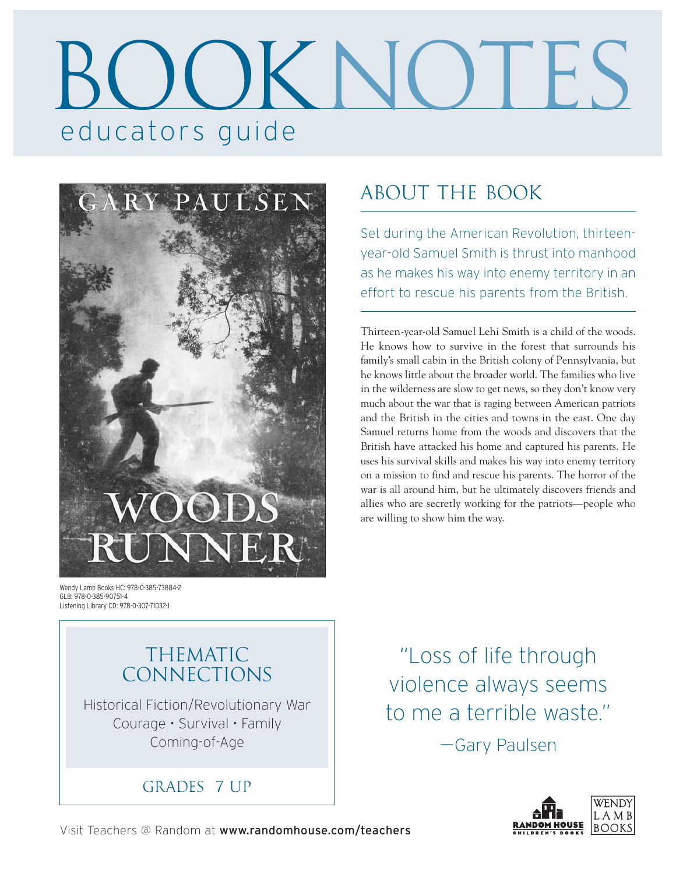# educators guide



# about the book

Set during the American Revolution, thirteenyear-old Samuel Smith is thrust into manhood as he makes his way into enemy territory in an effort to rescue his parents from the British.

Thirteen-year-old Samuel Lehi Smith is a child of the woods. He knows how to survive in the forest that surrounds his family's small cabin in the British colony of Pennsylvania, but he knows little about the broader world. The families who live in the wilderness are slow to get news, so they don't know very much about the war that is raging between American patriots and the British in the cities and towns in the east. One day Samuel returns home from the woods and discovers that the British have attacked his home and captured his parents. He uses his survival skills and makes his way into enemy territory on a mission to find and rescue his parents. The horror of the war is all around him, but he ultimately discovers friends and allies who are secretly working for the patriots—people who are willing to show him the way.

Wendy Lamb Books HC: 978-0-385-73884-2 GLB: 978-0-385-90751-4 Listening Library CD: 978-0-307-71032-1

### THEMATIC CONNECTIONS

Historical Fiction/Revolutionary War Courage • Survival • Family Coming-of-Age

GRADES 7 UP

"Loss of life through violence always seems to me a terrible waste." —Gary Paulsen

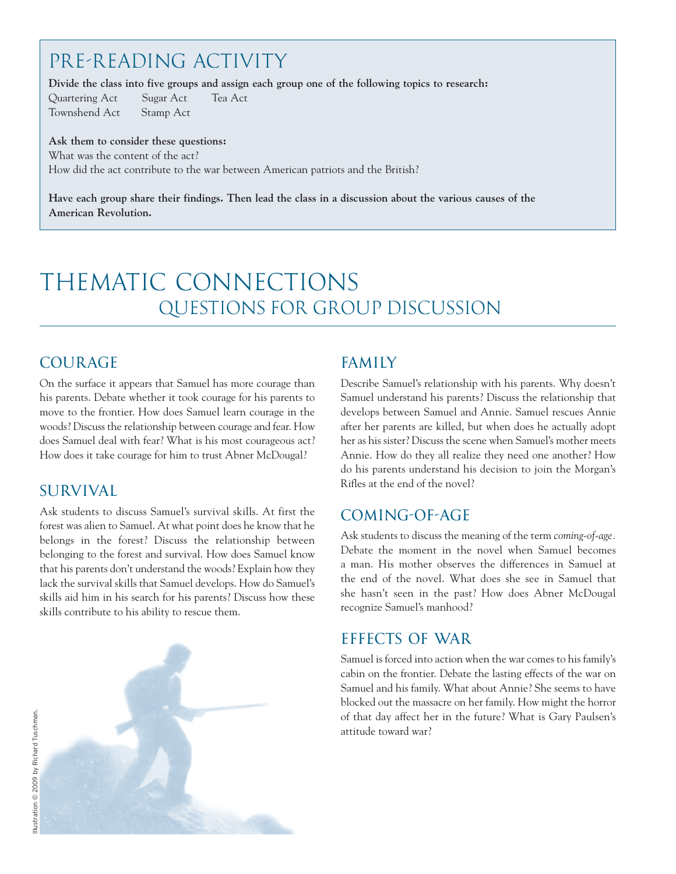# PRE-READING ACTIVITY

**Divide the class into five groups and assign each group one of the following topics to research:** 

Quartering Act Sugar Act Tea Act Townshend Act Stamp Act

**Ask them to consider these questions:** What was the content of the act? How did the act contribute to the war between American patriots and the British?

**Have each group share their findings. Then lead the class in a discussion about the various causes of the American Revolution.**

# thematic connections QUESTIONS FOR GROUP DISCUSSION

#### COURAGE

On the surface it appears that Samuel has more courage than his parents. Debate whether it took courage for his parents to move to the frontier. How does Samuel learn courage in the woods? Discuss the relationship between courage and fear. How does Samuel deal with fear? What is his most courageous act? How does it take courage for him to trust Abner McDougal?

#### SURVIVAL

Ask students to discuss Samuel's survival skills. At first the forest was alien to Samuel. At what point does he know that he belongs in the forest? Discuss the relationship between belonging to the forest and survival. How does Samuel know that his parents don't understand the woods? Explain how they lack the survival skills that Samuel develops. How do Samuel's skills aid him in his search for his parents? Discuss how these skills contribute to his ability to rescue them.

#### FAMILY

Describe Samuel's relationship with his parents. Why doesn't Samuel understand his parents? Discuss the relationship that develops between Samuel and Annie. Samuel rescues Annie after her parents are killed, but when does he actually adopt her as his sister? Discuss the scene when Samuel's mother meets Annie. How do they all realize they need one another? How do his parents understand his decision to join the Morgan's Rifles at the end of the novel?

#### COMING-OF-AGE

Ask students to discuss the meaning of the term *coming-of-age.* Debate the moment in the novel when Samuel becomes a man. His mother observes the differences in Samuel at the end of the novel. What does she see in Samuel that she hasn't seen in the past? How does Abner McDougal recognize Samuel's manhood?

#### EFFECTS OF WAR

Samuel is forced into action when the war comes to his family's cabin on the frontier. Debate the lasting effects of the war on Samuel and his family. What about Annie? She seems to have blocked out the massacre on her family. How might the horror of that day affect her in the future? What is Gary Paulsen's attitude toward war?

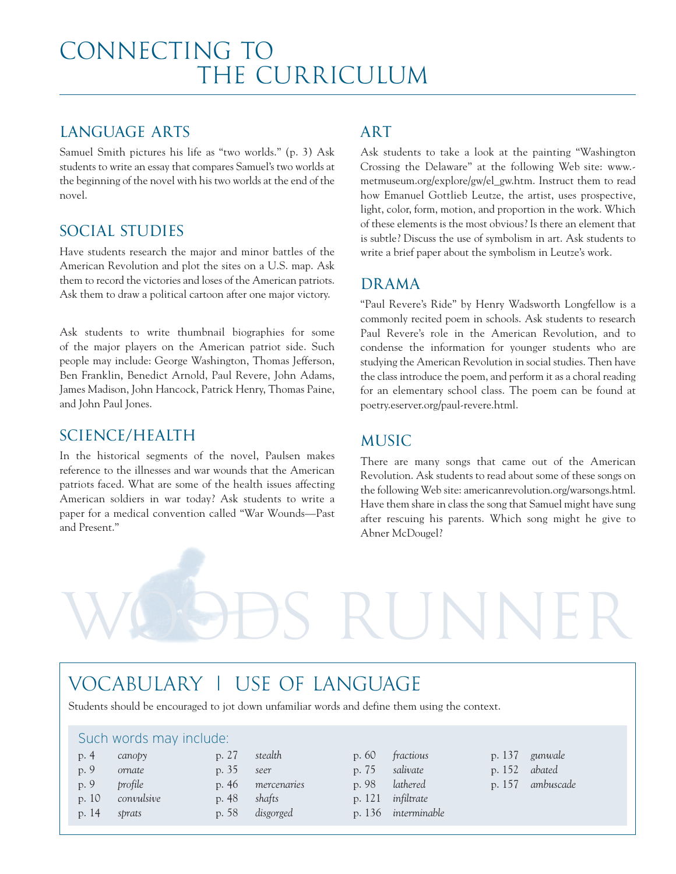#### LANGUAGE ARTS

Samuel Smith pictures his life as "two worlds." (p. 3) Ask students to write an essay that compares Samuel's two worlds at the beginning of the novel with his two worlds at the end of the novel.

#### SOCIAL STUDIES

Have students research the major and minor battles of the American Revolution and plot the sites on a U.S. map. Ask them to record the victories and loses of the American patriots. Ask them to draw a political cartoon after one major victory.

Ask students to write thumbnail biographies for some of the major players on the American patriot side. Such people may include: George Washington, Thomas Jefferson, Ben Franklin, Benedict Arnold, Paul Revere, John Adams, James Madison, John Hancock, Patrick Henry, Thomas Paine, and John Paul Jones.

#### SCIENCE/HEALTH

In the historical segments of the novel, Paulsen makes reference to the illnesses and war wounds that the American patriots faced. What are some of the health issues affecting American soldiers in war today? Ask students to write a paper for a medical convention called "War Wounds—Past and Present."

#### ART

Ask students to take a look at the painting "Washington Crossing the Delaware" at the following Web site: www. metmuseum.org/explore/gw/el\_gw.htm. Instruct them to read how Emanuel Gottlieb Leutze, the artist, uses prospective, light, color, form, motion, and proportion in the work. Which of these elements is the most obvious? Is there an element that is subtle? Discuss the use of symbolism in art. Ask students to write a brief paper about the symbolism in Leutze's work.

#### DRAMA

"Paul Revere's Ride" by Henry Wadsworth Longfellow is a commonly recited poem in schools. Ask students to research Paul Revere's role in the American Revolution, and to condense the information for younger students who are studying the American Revolution in social studies. Then have the class introduce the poem, and perform it as a choral reading for an elementary school class. The poem can be found at poetry.eserver.org/paul-revere.html.

#### MUSIC

There are many songs that came out of the American Revolution. Ask students to read about some of these songs on the following Web site: americanrevolution.org/warsongs.html. Have them share in class the song that Samuel might have sung after rescuing his parents. Which song might he give to Abner McDougel?

## VOCABULARY | USE OF LANGUAGE

Students should be encouraged to jot down unfamiliar words and define them using the context.

#### Such words may include:

| p. 4  | canopy     |
|-------|------------|
| p. 9  | ornate     |
| p. 9  | profile    |
| p. 10 | convulsive |
| p. 14 | sprats     |

| p. 27 | stealth     |
|-------|-------------|
| p. 35 | seer        |
| p. 46 | mercenaries |
| p. 48 | shafts      |
| p. 58 | disgorged   |

p. 60 *fractious* p. 75 *salivate* p. 98 *lathered*

RUNN

- p. 121 *infiltrate*
- p. 136 *interminable*
- p. 137 *gunwale*
- p. 152 *abated*
- p. 157 *ambuscade*